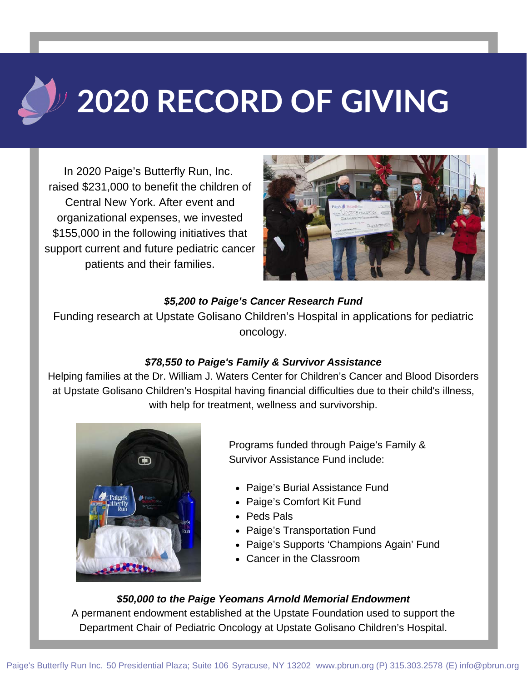# **2020 RECORD OF GIVING**

In 2020 Paige's Butterfly Run, Inc. raised \$231,000 to benefit the children of Central New York. After event and organizational expenses, we invested \$155,000 in the following initiatives that support current and future pediatric cancer patients and their families.



### *\$5,200 to Paige's Cancer Research Fund*

Funding research at Upstate Golisano Children's Hospital in applications for pediatric oncology.

## *\$78,550 to Paige's Family & Survivor Assistance*

Helping families at the Dr. William J. Waters Center for Children's Cancer and Blood Disorders at Upstate Golisano Children's Hospital having financial difficulties due to their child's illness, with help for treatment, wellness and survivorship.



Programs funded through Paige's Family & Survivor Assistance Fund include:

- Paige's Burial Assistance Fund
- Paige's Comfort Kit Fund
- Peds Pals
- Paige's Transportation Fund
- Paige's Supports 'Champions Again' Fund
- Cancer in the Classroom

### *\$50,000 to the Paige Yeomans Arnold Memorial Endowment*

A permanent endowment established at the Upstate Foundation used to support the Department Chair of Pediatric Oncology at Upstate Golisano Children's Hospital.